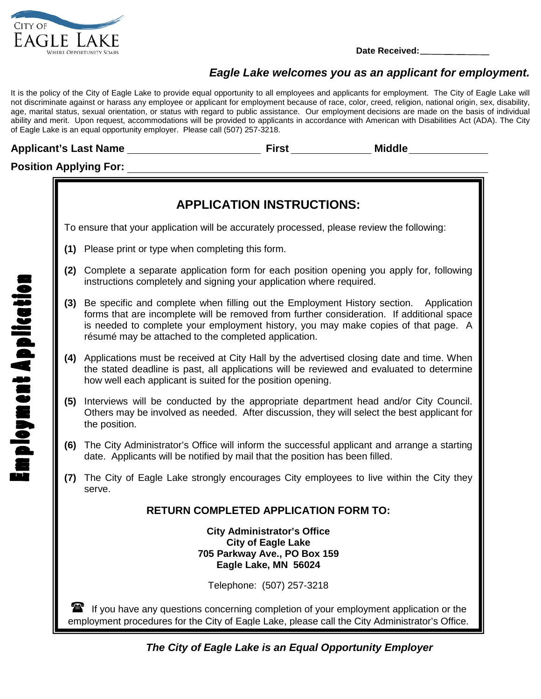

## *Eagle Lake welcomes you as an applicant for employment.*

It is the policy of the City of Eagle Lake to provide equal opportunity to all employees and applicants for employment. The City of Eagle Lake will not discriminate against or harass any employee or applicant for employment because of race, color, creed, religion, national origin, sex, disability, age, marital status, sexual orientation, or status with regard to public assistance. Our employment decisions are made on the basis of individual ability and merit. Upon request, accommodations will be provided to applicants in accordance with American with Disabilities Act (ADA). The City of Eagle Lake is an equal opportunity employer. Please call (507) 257-3218.

## **Applicant's Last Name First Middle**

## **Position Applying For:**



 *The City of Eagle Lake is an Equal Opportunity Employer*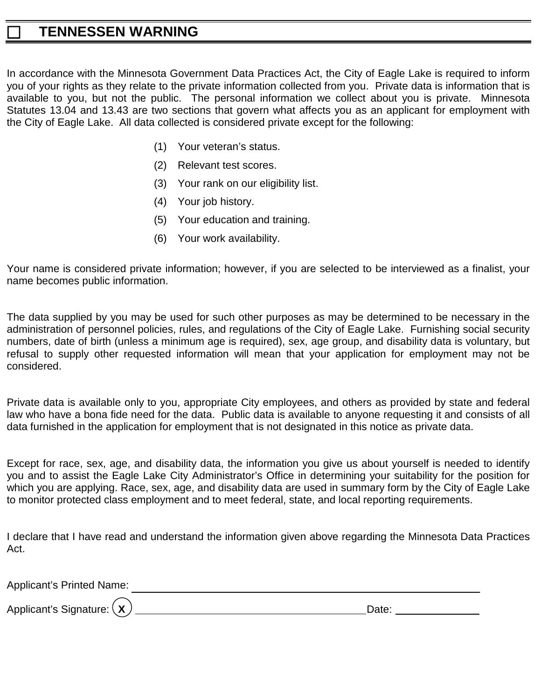## **TENNESSEN WARNING**

In accordance with the Minnesota Government Data Practices Act, the City of Eagle Lake is required to inform you of your rights as they relate to the private information collected from you. Private data is information that is available to you, but not the public. The personal information we collect about you is private. Minnesota Statutes 13.04 and 13.43 are two sections that govern what affects you as an applicant for employment with the City of Eagle Lake. All data collected is considered private except for the following:

- (1) Your veteran's status.
- (2) Relevant test scores.
- (3) Your rank on our eligibility list.
- (4) Your job history.
- (5) Your education and training.
- (6) Your work availability.

Your name is considered private information; however, if you are selected to be interviewed as a finalist, your name becomes public information.

The data supplied by you may be used for such other purposes as may be determined to be necessary in the administration of personnel policies, rules, and regulations of the City of Eagle Lake. Furnishing social security numbers, date of birth (unless a minimum age is required), sex, age group, and disability data is voluntary, but refusal to supply other requested information will mean that your application for employment may not be considered.

Private data is available only to you, appropriate City employees, and others as provided by state and federal law who have a bona fide need for the data. Public data is available to anyone requesting it and consists of all data furnished in the application for employment that is not designated in this notice as private data.

Except for race, sex, age, and disability data, the information you give us about yourself is needed to identify you and to assist the Eagle Lake City Administrator's Office in determining your suitability for the position for which you are applying. Race, sex, age, and disability data are used in summary form by the City of Eagle Lake to monitor protected class employment and to meet federal, state, and local reporting requirements.

I declare that I have read and understand the information given above regarding the Minnesota Data Practices Act.

Applicant's Printed Name:

Applicant's Signature: **X** Date: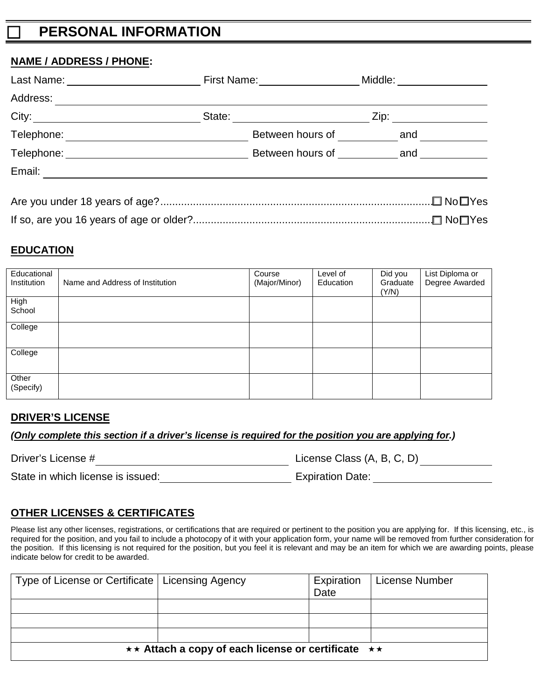# **PERSONAL INFORMATION**

## **NAME / ADDRESS / PHONE:**

| Last Name: Name: Name and Name and Name and Name and Name and Name and Name and N | First Name: <u>____________</u>    | Middle: ___________                                                                                                                                                                                                             |
|-----------------------------------------------------------------------------------|------------------------------------|---------------------------------------------------------------------------------------------------------------------------------------------------------------------------------------------------------------------------------|
| Address:                                                                          |                                    |                                                                                                                                                                                                                                 |
| City:                                                                             | State: <u>__________</u>           | Zip: the contract of the contract of the contract of the contract of the contract of the contract of the contract of the contract of the contract of the contract of the contract of the contract of the contract of the contr  |
| Telephone:                                                                        | Between hours of                   | and                                                                                                                                                                                                                             |
|                                                                                   | Between hours of <b>Example 18</b> | and the control of the control of the control of the control of the control of the control of the control of the control of the control of the control of the control of the control of the control of the control of the contr |
| Email:                                                                            |                                    |                                                                                                                                                                                                                                 |
|                                                                                   |                                    |                                                                                                                                                                                                                                 |

| Are you under 18 years of age?……………………………………………………………………………………□ No□ Yes |  |
|-------------------------------------------------------------------------|--|
|                                                                         |  |

## **EDUCATION**

| Educational<br>Institution | Name and Address of Institution | Course<br>(Major/Minor) | Level of<br>Education | Did you<br>Graduate<br>(Y/N) | List Diploma or<br>Degree Awarded |
|----------------------------|---------------------------------|-------------------------|-----------------------|------------------------------|-----------------------------------|
| High<br>School             |                                 |                         |                       |                              |                                   |
| College                    |                                 |                         |                       |                              |                                   |
| College                    |                                 |                         |                       |                              |                                   |
| Other<br>(Specify)         |                                 |                         |                       |                              |                                   |

## **DRIVER'S LICENSE**

*(Only complete this section if a driver's license is required for the position you are applying for.)*

Driver's License # License Class (A, B, C, D)

State in which license is issued: Expiration Date:

## **OTHER LICENSES & CERTIFICATES**

Please list any other licenses, registrations, or certifications that are required or pertinent to the position you are applying for. If this licensing, etc., is required for the position, and you fail to include a photocopy of it with your application form, your name will be removed from further consideration for the position. If this licensing is not required for the position, but you feel it is relevant and may be an item for which we are awarding points, please indicate below for credit to be awarded.

| Type of License or Certificate   Licensing Agency                      |  | Expiration<br>Date | License Number |  |
|------------------------------------------------------------------------|--|--------------------|----------------|--|
|                                                                        |  |                    |                |  |
|                                                                        |  |                    |                |  |
|                                                                        |  |                    |                |  |
|                                                                        |  |                    |                |  |
| $\star\star$ Attach a copy of each license or certificate $\star\star$ |  |                    |                |  |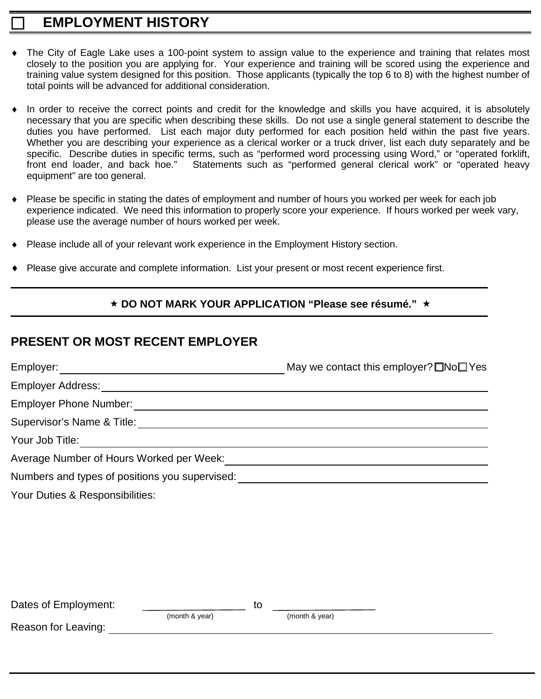# **EMPLOYMENT HISTORY**

- The City of Eagle Lake uses a 100-point system to assign value to the experience and training that relates most closely to the position you are applying for. Your experience and training will be scored using the experience and training value system designed for this position. Those applicants (typically the top 6 to 8) with the highest number of total points will be advanced for additional consideration.
- In order to receive the correct points and credit for the knowledge and skills you have acquired, it is absolutely necessary that you are specific when describing these skills. Do not use a single general statement to describe the duties you have performed. List each major duty performed for each position held within the past five years. Whether you are describing your experience as a clerical worker or a truck driver, list each duty separately and be specific. Describe duties in specific terms, such as "performed word processing using Word," or "operated forklift, front end loader, and back hoe." Statements such as "performed general clerical work" or "operated heavy equipment" are too general.
- Please be specific in stating the dates of employment and number of hours you worked per week for each job experience indicated. We need this information to properly score your experience. If hours worked per week vary, please use the average number of hours worked per week.
- Please include all of your relevant work experience in the Employment History section.
- Please give accurate and complete information. List your present or most recent experience first.

## **★ DO NOT MARK YOUR APPLICATION "Please see résumé." ★**

## **PRESENT OR MOST RECENT EMPLOYER**

|                                                                  | May we contact this employer? $\square$ No $\square$ Yes                                                             |
|------------------------------------------------------------------|----------------------------------------------------------------------------------------------------------------------|
| <b>Employer Address:</b>                                         |                                                                                                                      |
| <b>Employer Phone Number:</b>                                    | <u> 1989 - Johann Stein, mars an deutscher Stein und der Stein und der Stein und der Stein und der Stein und der</u> |
|                                                                  |                                                                                                                      |
| Your Job Title:<br><u> 1980 - Andrea Andrew Maria (h. 1980).</u> |                                                                                                                      |
| Average Number of Hours Worked per Week:                         |                                                                                                                      |
| Numbers and types of positions you supervised:                   |                                                                                                                      |
| Your Duties & Responsibilities:                                  |                                                                                                                      |
|                                                                  |                                                                                                                      |
|                                                                  |                                                                                                                      |
|                                                                  |                                                                                                                      |
|                                                                  |                                                                                                                      |
|                                                                  |                                                                                                                      |
| Dates of Employment:                                             | to                                                                                                                   |

(month & year) (month & year)

Reason for Leaving: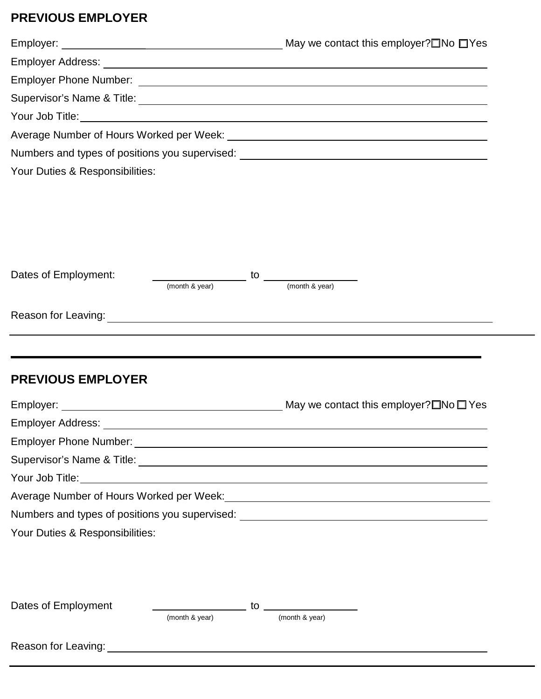# **PREVIOUS EMPLOYER**

| Numbers and types of positions you supervised: _________________________________ |                |
|----------------------------------------------------------------------------------|----------------|
| Your Duties & Responsibilities:                                                  |                |
|                                                                                  |                |
|                                                                                  |                |
|                                                                                  |                |
|                                                                                  |                |
| Dates of Employment:<br>$\overline{\phantom{a}}$ to $\overline{\phantom{a}}$     |                |
| $\frac{1}{2}$ (month & year)                                                     | (month & year) |
|                                                                                  |                |
|                                                                                  |                |
|                                                                                  |                |
|                                                                                  |                |
| <b>PREVIOUS EMPLOYER</b>                                                         |                |
|                                                                                  |                |
|                                                                                  |                |
|                                                                                  |                |
|                                                                                  |                |
|                                                                                  |                |
|                                                                                  |                |
|                                                                                  |                |
| Numbers and types of positions you supervised: _________________________________ |                |
| Your Duties & Responsibilities:                                                  |                |
|                                                                                  |                |
|                                                                                  |                |
|                                                                                  |                |

Reason for Leaving: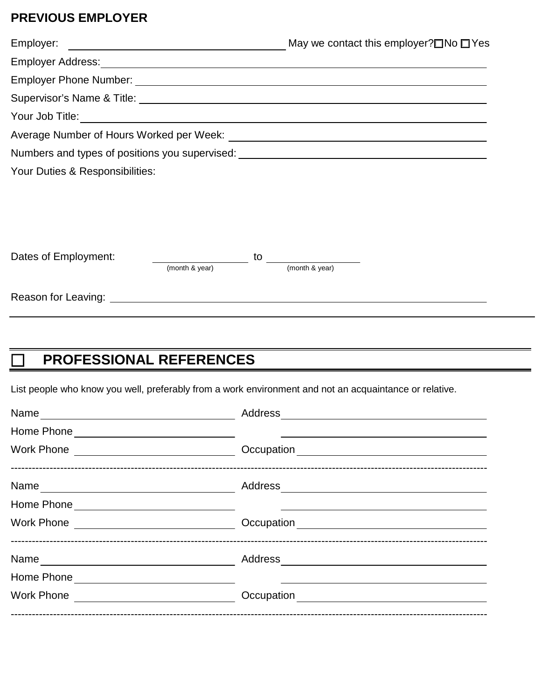# **PREVIOUS EMPLOYER**

| Employer:                                                                                   | <u> 1989 - Jan Samuel Barbara, martin da shekara 1989 - An tsara 1989 - An tsara 1989 - An tsara 1989 - An tsara</u> |    | May we contact this employer? $\square$ No $\square$ Yes                                      |
|---------------------------------------------------------------------------------------------|----------------------------------------------------------------------------------------------------------------------|----|-----------------------------------------------------------------------------------------------|
|                                                                                             |                                                                                                                      |    |                                                                                               |
|                                                                                             |                                                                                                                      |    |                                                                                               |
| Supervisor's Name & Title: <u>Cambridge Community of the Supervisor's Name &amp; Title:</u> |                                                                                                                      |    |                                                                                               |
|                                                                                             |                                                                                                                      |    |                                                                                               |
|                                                                                             |                                                                                                                      |    |                                                                                               |
|                                                                                             |                                                                                                                      |    | Numbers and types of positions you supervised: Numbers and types of positions you supervised: |
| Your Duties & Responsibilities:                                                             |                                                                                                                      |    |                                                                                               |
|                                                                                             |                                                                                                                      |    |                                                                                               |
|                                                                                             |                                                                                                                      |    |                                                                                               |
|                                                                                             |                                                                                                                      |    |                                                                                               |
| Dates of Employment:                                                                        |                                                                                                                      | to |                                                                                               |
|                                                                                             | (month & year)                                                                                                       |    | (month & year)                                                                                |

Reason for Leaving:

# **PROFESSIONAL REFERENCES**

List people who know you well, preferably from a work environment and not an acquaintance or relative.

| Address |  |
|---------|--|
|         |  |
|         |  |
|         |  |
|         |  |
|         |  |
|         |  |
|         |  |
|         |  |
|         |  |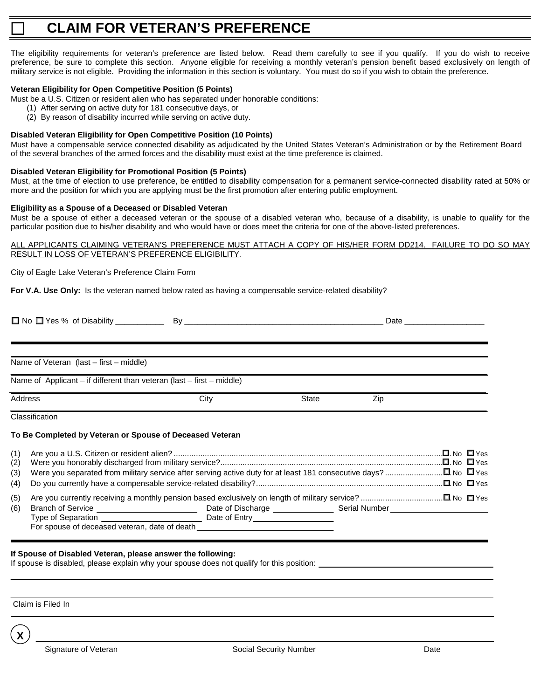# **CLAIM FOR VETERAN'S PREFERENCE**

The eligibility requirements for veteran's preference are listed below. Read them carefully to see if you qualify. If you do wish to receive preference, be sure to complete this section. Anyone eligible for receiving a monthly veteran's pension benefit based exclusively on length of military service is not eligible. Providing the information in this section is voluntary. You must do so if you wish to obtain the preference.

### **Veteran Eligibility for Open Competitive Position (5 Points)**

- Must be a U.S. Citizen or resident alien who has separated under honorable conditions:
	- (1) After serving on active duty for 181 consecutive days, or
	- (2) By reason of disability incurred while serving on active duty.

### **Disabled Veteran Eligibility for Open Competitive Position (10 Points)**

Must have a compensable service connected disability as adjudicated by the United States Veteran's Administration or by the Retirement Board of the several branches of the armed forces and the disability must exist at the time preference is claimed.

### **Disabled Veteran Eligibility for Promotional Position (5 Points)**

Must, at the time of election to use preference, be entitled to disability compensation for a permanent service-connected disability rated at 50% or more and the position for which you are applying must be the first promotion after entering public employment.

### **Eligibility as a Spouse of a Deceased or Disabled Veteran**

Must be a spouse of either a deceased veteran or the spouse of a disabled veteran who, because of a disability, is unable to qualify for the particular position due to his/her disability and who would have or does meet the criteria for one of the above-listed preferences.

#### ALL APPLICANTS CLAIMING VETERAN'S PREFERENCE MUST ATTACH A COPY OF HIS/HER FORM DD214. FAILURE TO DO SO MAY RESULT IN LOSS OF VETERAN'S PREFERENCE ELIGIBILITY.

City of Eagle Lake Veteran's Preference Claim Form

**For V.A. Use Only:** Is the veteran named below rated as having a compensable service-related disability?

| Name of Veteran (last - first - middle)                               |      |       |     |  |
|-----------------------------------------------------------------------|------|-------|-----|--|
|                                                                       |      |       |     |  |
| Name of Applicant – if different than veteran (last – first – middle) |      |       |     |  |
| <b>Address</b>                                                        | City | State | Zip |  |
| Classification                                                        |      |       |     |  |
| To Be Completed by Veteran or Spouse of Deceased Veteran              |      |       |     |  |
| $(0)$ $(1)$                                                           |      |       |     |  |

| Date of Entry __________________              |                                                                                  |  |
|-----------------------------------------------|----------------------------------------------------------------------------------|--|
|                                               |                                                                                  |  |
| Branch of Service ___________________________ | For spouse of deceased veteran, date of death __________________________________ |  |

### **If Spouse of Disabled Veteran, please answer the following:**

If spouse is disabled, please explain why your spouse does not qualify for this position:

Claim is Filed In

**X**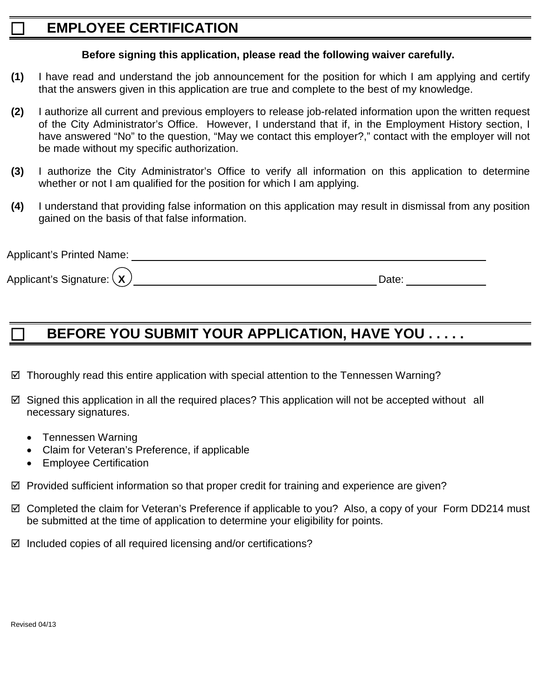# **EMPLOYEE CERTIFICATION**

## **Before signing this application, please read the following waiver carefully.**

- **(1)** I have read and understand the job announcement for the position for which I am applying and certify that the answers given in this application are true and complete to the best of my knowledge.
- **(2)** I authorize all current and previous employers to release job-related information upon the written request of the City Administrator's Office. However, I understand that if, in the Employment History section, I have answered "No" to the question, "May we contact this employer?," contact with the employer will not be made without my specific authorization.
- **(3)** I authorize the City Administrator's Office to verify all information on this application to determine whether or not I am qualified for the position for which I am applying.
- **(4)** I understand that providing false information on this application may result in dismissal from any position gained on the basis of that false information.

| <b>Applicant's Printed Name:</b> |      |  |
|----------------------------------|------|--|
| Applicant's Signature: $(x)$     | Date |  |

# **BEFORE YOU SUBMIT YOUR APPLICATION, HAVE YOU . . . . .**

- $\boxtimes$  Thoroughly read this entire application with special attention to the Tennessen Warning?
- $\boxtimes$  Signed this application in all the required places? This application will not be accepted without all necessary signatures.
	- Tennessen Warning
	- Claim for Veteran's Preference, if applicable
	- Employee Certification
- $\boxtimes$  Provided sufficient information so that proper credit for training and experience are given?
- Completed the claim for Veteran's Preference if applicable to you? Also, a copy of your Form DD214 must be submitted at the time of application to determine your eligibility for points.
- $\boxtimes$  Included copies of all required licensing and/or certifications?